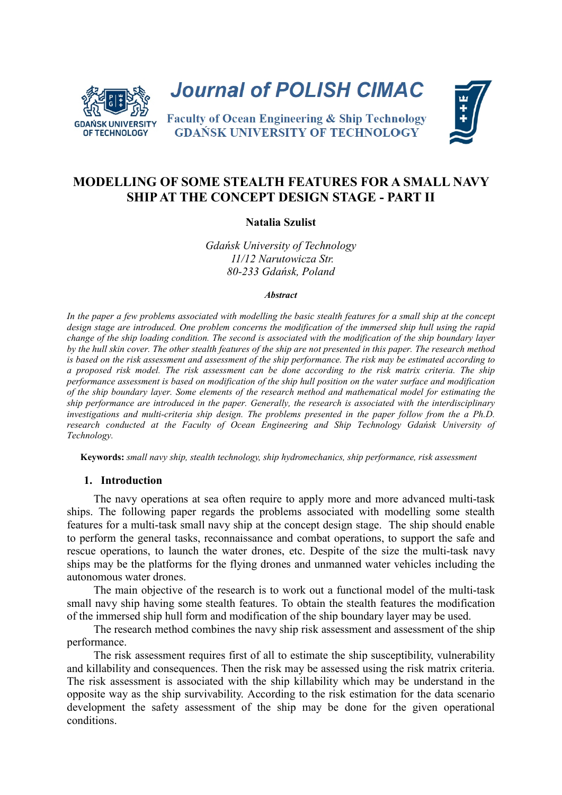

**Journal of POLISH CIMAC** 

**Faculty of Ocean Engineering & Ship Technology GDAŃSK UNIVERSITY OF TECHNOLOGY** 



# **MODELLING OF SOME STEALTH FEATURES FOR A SMALL NAVY SHIP AT THE CONCEPT DESIGN STAGE - PART II**

#### **Natalia Szulist**

*Gdańsk University of Technology 11/12 Narutowicza Str. 80-233 Gdańsk, Poland*

#### *Abstract*

*In the paper a few problems associated with modelling the basic stealth features for a small ship at the concept design stage are introduced. One problem concerns the modification of the immersed ship hull using the rapid change of the ship loading condition. The second is associated with the modification of the ship boundary layer by the hull skin cover. The other stealth features of the ship are not presented in this paper. The research method is based on the risk assessment and assessment of the ship performance. The risk may be estimated according to a proposed risk model. The risk assessment can be done according to the risk matrix criteria. The ship performance assessment is based on modification of the ship hull position on the water surface and modification of the ship boundary layer. Some elements of the research method and mathematical model for estimating the ship performance are introduced in the paper. Generally, the research is associated with the interdisciplinary investigations and multi-criteria ship design. The problems presented in the paper follow from the a Ph.D. research conducted at the Faculty of Ocean Engineering and Ship Technology Gdańsk University of Technology.*

**Keywords:** *small navy ship, stealth technology, ship hydromechanics, ship performance, risk assessment*

#### **1. Introduction**

The navy operations at sea often require to apply more and more advanced multi-task ships. The following paper regards the problems associated with modelling some stealth features for a multi-task small navy ship at the concept design stage. The ship should enable to perform the general tasks, reconnaissance and combat operations, to support the safe and rescue operations, to launch the water drones, etc. Despite of the size the multi-task navy ships may be the platforms for the flying drones and unmanned water vehicles including the autonomous water drones.

The main objective of the research is to work out a functional model of the multi-task small navy ship having some stealth features. To obtain the stealth features the modification of the immersed ship hull form and modification of the ship boundary layer may be used.

The research method combines the navy ship risk assessment and assessment of the ship performance.

The risk assessment requires first of all to estimate the ship susceptibility, vulnerability and killability and consequences. Then the risk may be assessed using the risk matrix criteria. The risk assessment is associated with the ship killability which may be understand in the opposite way as the ship survivability. According to the risk estimation for the data scenario development the safety assessment of the ship may be done for the given operational conditions.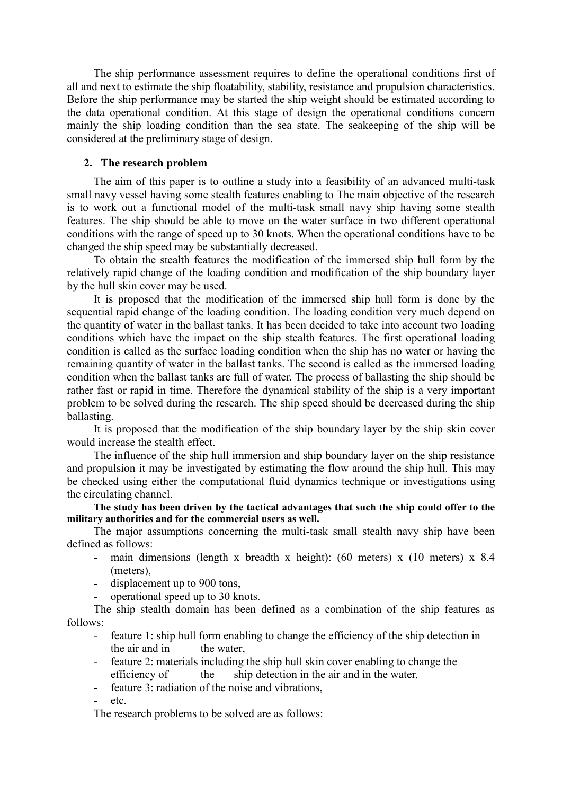The ship performance assessment requires to define the operational conditions first of all and next to estimate the ship floatability, stability, resistance and propulsion characteristics. Before the ship performance may be started the ship weight should be estimated according to the data operational condition. At this stage of design the operational conditions concern mainly the ship loading condition than the sea state. The seakeeping of the ship will be considered at the preliminary stage of design.

# **2. The research problem**

The aim of this paper is to outline a study into a feasibility of an advanced multi-task small navy vessel having some stealth features enabling to The main objective of the research is to work out a functional model of the multi-task small navy ship having some stealth features. The ship should be able to move on the water surface in two different operational conditions with the range of speed up to 30 knots. When the operational conditions have to be changed the ship speed may be substantially decreased.

To obtain the stealth features the modification of the immersed ship hull form by the relatively rapid change of the loading condition and modification of the ship boundary layer by the hull skin cover may be used.

It is proposed that the modification of the immersed ship hull form is done by the sequential rapid change of the loading condition. The loading condition very much depend on the quantity of water in the ballast tanks. It has been decided to take into account two loading conditions which have the impact on the ship stealth features. The first operational loading condition is called as the surface loading condition when the ship has no water or having the remaining quantity of water in the ballast tanks. The second is called as the immersed loading condition when the ballast tanks are full of water. The process of ballasting the ship should be rather fast or rapid in time. Therefore the dynamical stability of the ship is a very important problem to be solved during the research. The ship speed should be decreased during the ship ballasting.

It is proposed that the modification of the ship boundary layer by the ship skin cover would increase the stealth effect.

The influence of the ship hull immersion and ship boundary layer on the ship resistance and propulsion it may be investigated by estimating the flow around the ship hull. This may be checked using either the computational fluid dynamics technique or investigations using the circulating channel.

**The study has been driven by the tactical advantages that such the ship could offer to the military authorities and for the commercial users as well.**

The major assumptions concerning the multi-task small stealth navy ship have been defined as follows:

- main dimensions (length x breadth x height): (60 meters) x (10 meters) x 8.4 (meters),
- displacement up to 900 tons,
- operational speed up to 30 knots.

The ship stealth domain has been defined as a combination of the ship features as follows:

- feature 1: ship hull form enabling to change the efficiency of the ship detection in the air and in the water,
- feature 2: materials including the ship hull skin cover enabling to change the efficiency of the ship detection in the air and in the water,
- feature 3: radiation of the noise and vibrations.

etc.

The research problems to be solved are as follows: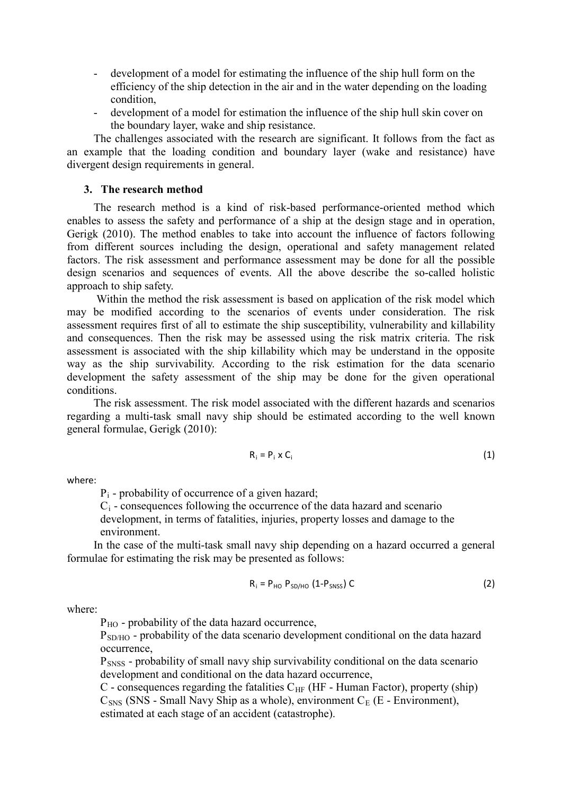- development of a model for estimating the influence of the ship hull form on the efficiency of the ship detection in the air and in the water depending on the loading condition,
- development of a model for estimation the influence of the ship hull skin cover on the boundary layer, wake and ship resistance.

The challenges associated with the research are significant. It follows from the fact as an example that the loading condition and boundary layer (wake and resistance) have divergent design requirements in general.

#### **3. The research method**

The research method is a kind of risk-based performance-oriented method which enables to assess the safety and performance of a ship at the design stage and in operation, Gerigk (2010). The method enables to take into account the influence of factors following from different sources including the design, operational and safety management related factors. The risk assessment and performance assessment may be done for all the possible design scenarios and sequences of events. All the above describe the so-called holistic approach to ship safety.

Within the method the risk assessment is based on application of the risk model which may be modified according to the scenarios of events under consideration. The risk assessment requires first of all to estimate the ship susceptibility, vulnerability and killability and consequences. Then the risk may be assessed using the risk matrix criteria. The risk assessment is associated with the ship killability which may be understand in the opposite way as the ship survivability. According to the risk estimation for the data scenario development the safety assessment of the ship may be done for the given operational conditions.

The risk assessment. The risk model associated with the different hazards and scenarios regarding a multi-task small navy ship should be estimated according to the well known general formulae, Gerigk (2010):

$$
R_i = P_i \times C_i \tag{1}
$$

where:

 $P_i$  - probability of occurrence of a given hazard;

 $C_i$  - consequences following the occurrence of the data hazard and scenario development, in terms of fatalities, injuries, property losses and damage to the environment.

In the case of the multi-task small navy ship depending on a hazard occurred a general formulae for estimating the risk may be presented as follows:

$$
R_i = P_{HO} P_{SD/HO} (1 - P_{SNSS}) C
$$
 (2)

where:

 $P_{HO}$  - probability of the data hazard occurrence,

P<sub>SD/HO</sub> - probability of the data scenario development conditional on the data hazard occurrence,

PSNSS - probability of small navy ship survivability conditional on the data scenario development and conditional on the data hazard occurrence,

C - consequences regarding the fatalities  $C_{HF}$  (HF - Human Factor), property (ship)  $C<sub>SNS</sub>$  (SNS - Small Navy Ship as a whole), environment  $C<sub>E</sub>$  (E - Environment), estimated at each stage of an accident (catastrophe).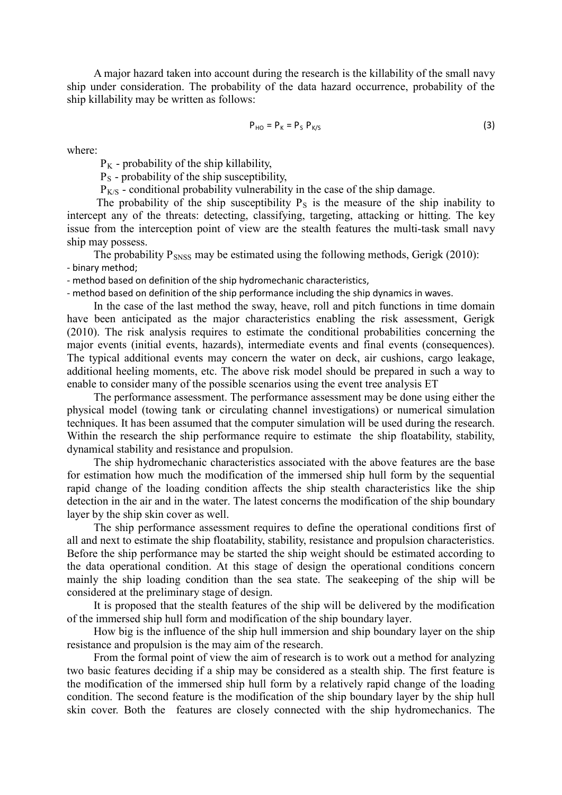A major hazard taken into account during the research is the killability of the small navy ship under consideration. The probability of the data hazard occurrence, probability of the ship killability may be written as follows:

$$
P_{HO} = P_K = P_S P_{K/S}
$$
 (3)

where:

 $P_K$  - probability of the ship killability.

 $P<sub>S</sub>$  - probability of the ship susceptibility,

 $P_{K/S}$  - conditional probability vulnerability in the case of the ship damage.

The probability of the ship susceptibility  $P<sub>S</sub>$  is the measure of the ship inability to intercept any of the threats: detecting, classifying, targeting, attacking or hitting. The key issue from the interception point of view are the stealth features the multi-task small navy ship may possess.

The probability  $P_{SNSS}$  may be estimated using the following methods, Gerigk (2010): - binary method;

- method based on definition of the ship hydromechanic characteristics,

- method based on definition of the ship performance including the ship dynamics in waves.

In the case of the last method the sway, heave, roll and pitch functions in time domain have been anticipated as the major characteristics enabling the risk assessment, Gerigk (2010). The risk analysis requires to estimate the conditional probabilities concerning the major events (initial events, hazards), intermediate events and final events (consequences). The typical additional events may concern the water on deck, air cushions, cargo leakage, additional heeling moments, etc. The above risk model should be prepared in such a way to enable to consider many of the possible scenarios using the event tree analysis ET

The performance assessment. The performance assessment may be done using either the physical model (towing tank or circulating channel investigations) or numerical simulation techniques. It has been assumed that the computer simulation will be used during the research. Within the research the ship performance require to estimate the ship floatability, stability, dynamical stability and resistance and propulsion.

The ship hydromechanic characteristics associated with the above features are the base for estimation how much the modification of the immersed ship hull form by the sequential rapid change of the loading condition affects the ship stealth characteristics like the ship detection in the air and in the water. The latest concerns the modification of the ship boundary layer by the ship skin cover as well.

The ship performance assessment requires to define the operational conditions first of all and next to estimate the ship floatability, stability, resistance and propulsion characteristics. Before the ship performance may be started the ship weight should be estimated according to the data operational condition. At this stage of design the operational conditions concern mainly the ship loading condition than the sea state. The seakeeping of the ship will be considered at the preliminary stage of design.

It is proposed that the stealth features of the ship will be delivered by the modification of the immersed ship hull form and modification of the ship boundary layer.

How big is the influence of the ship hull immersion and ship boundary layer on the ship resistance and propulsion is the may aim of the research.

From the formal point of view the aim of research is to work out a method for analyzing two basic features deciding if a ship may be considered as a stealth ship. The first feature is the modification of the immersed ship hull form by a relatively rapid change of the loading condition. The second feature is the modification of the ship boundary layer by the ship hull skin cover. Both the features are closely connected with the ship hydromechanics. The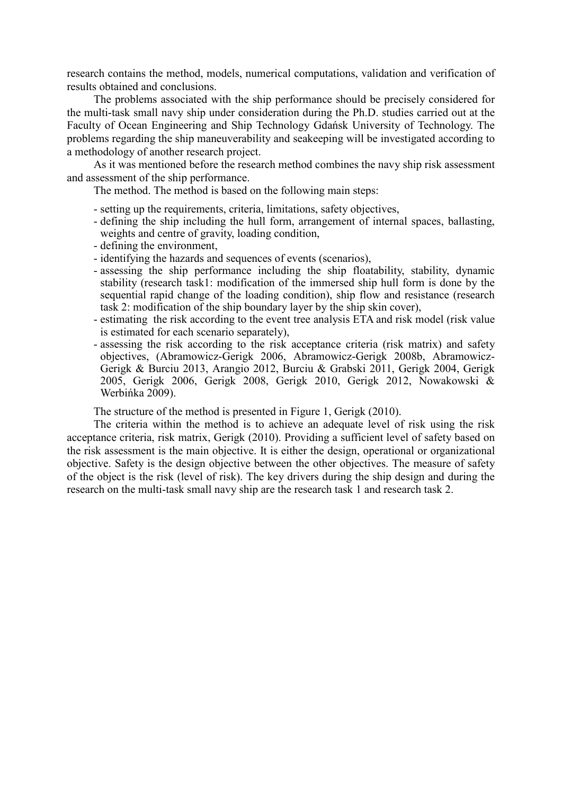research contains the method, models, numerical computations, validation and verification of results obtained and conclusions.

The problems associated with the ship performance should be precisely considered for the multi-task small navy ship under consideration during the Ph.D. studies carried out at the Faculty of Ocean Engineering and Ship Technology Gdańsk University of Technology. The problems regarding the ship maneuverability and seakeeping will be investigated according to a methodology of another research project.

As it was mentioned before the research method combines the navy ship risk assessment and assessment of the ship performance.

The method. The method is based on the following main steps:

- setting up the requirements, criteria, limitations, safety objectives,
- defining the ship including the hull form, arrangement of internal spaces, ballasting, weights and centre of gravity, loading condition,
- defining the environment,
- identifying the hazards and sequences of events (scenarios),
- assessing the ship performance including the ship floatability, stability, dynamic stability (research task1: modification of the immersed ship hull form is done by the sequential rapid change of the loading condition), ship flow and resistance (research task 2: modification of the ship boundary layer by the ship skin cover),
- estimating the risk according to the event tree analysis ETA and risk model (risk value is estimated for each scenario separately),
- assessing the risk according to the risk acceptance criteria (risk matrix) and safety objectives, (Abramowicz-Gerigk 2006, Abramowicz-Gerigk 2008b, Abramowicz-Gerigk & Burciu 2013, Arangio 2012, Burciu & Grabski 2011, Gerigk 2004, Gerigk 2005, Gerigk 2006, Gerigk 2008, Gerigk 2010, Gerigk 2012, Nowakowski & Werbińka 2009).

The structure of the method is presented in Figure 1, Gerigk (2010).

The criteria within the method is to achieve an adequate level of risk using the risk acceptance criteria, risk matrix, Gerigk (2010). Providing a sufficient level of safety based on the risk assessment is the main objective. It is either the design, operational or organizational objective. Safety is the design objective between the other objectives. The measure of safety of the object is the risk (level of risk). The key drivers during the ship design and during the research on the multi-task small navy ship are the research task 1 and research task 2.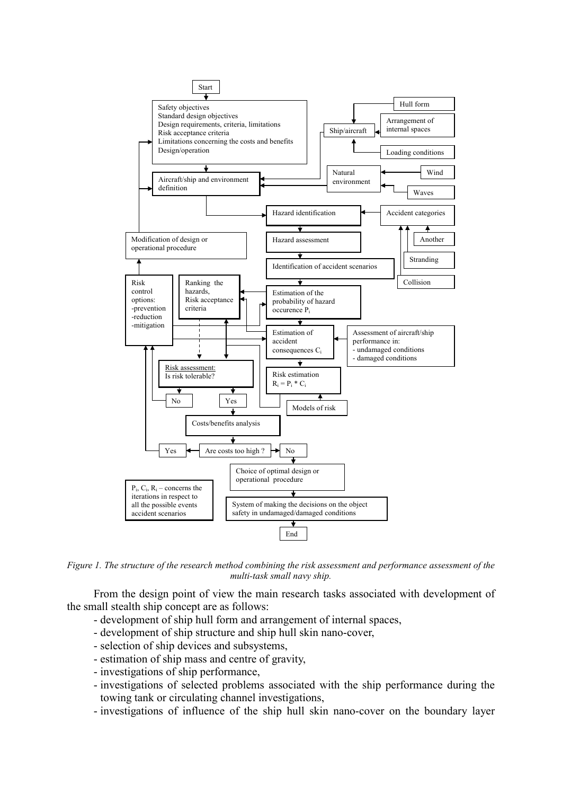

*Figure 1. The structure of the research method combining the risk assessment and performance assessment of the multi-task small navy ship.*

From the design point of view the main research tasks associated with development of the small stealth ship concept are as follows:

- development of ship hull form and arrangement of internal spaces,
- development of ship structure and ship hull skin nano-cover,
- selection of ship devices and subsystems,
- estimation of ship mass and centre of gravity,
- investigations of ship performance,
- investigations of selected problems associated with the ship performance during the towing tank or circulating channel investigations,
- investigations of influence of the ship hull skin nano-cover on the boundary layer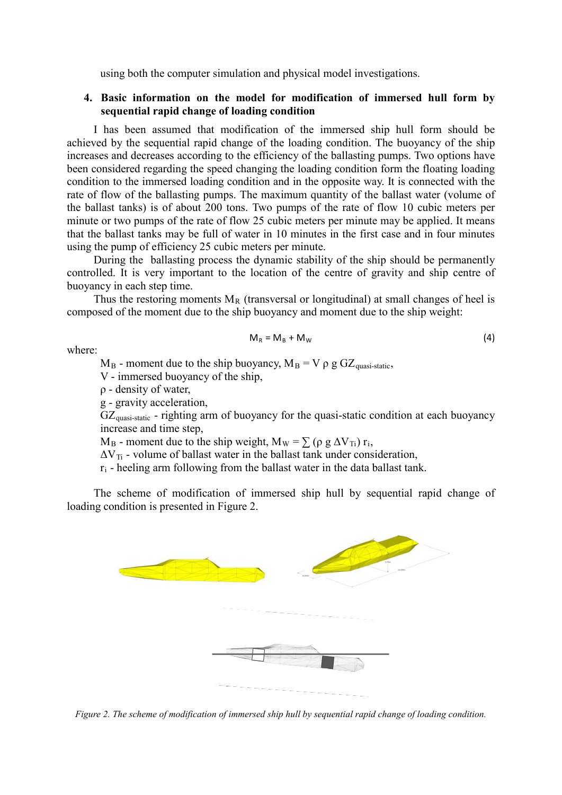using both the computer simulation and physical model investigations.

# **4. Basic information on the model for modification of immersed hull form by sequential rapid change of loading condition**

I has been assumed that modification of the immersed ship hull form should be achieved by the sequential rapid change of the loading condition. The buoyancy of the ship increases and decreases according to the efficiency of the ballasting pumps. Two options have been considered regarding the speed changing the loading condition form the floating loading condition to the immersed loading condition and in the opposite way. It is connected with the rate of flow of the ballasting pumps. The maximum quantity of the ballast water (volume of the ballast tanks) is of about 200 tons. Two pumps of the rate of flow 10 cubic meters per minute or two pumps of the rate of flow 25 cubic meters per minute may be applied. It means that the ballast tanks may be full of water in 10 minutes in the first case and in four minutes using the pump of efficiency 25 cubic meters per minute.

During the ballasting process the dynamic stability of the ship should be permanently controlled. It is very important to the location of the centre of gravity and ship centre of buoyancy in each step time.

Thus the restoring moments  $M_R$  (transversal or longitudinal) at small changes of heel is composed of the moment due to the ship buoyancy and moment due to the ship weight:

$$
M_R = M_B + M_W \tag{4}
$$

where:

 $M_B$  - moment due to the ship buoyancy,  $M_B = V \rho g G Z_{quasi-static}$ ,

V - immersed buoyancy of the ship,

ρ - density of water,

g - gravity acceleration,

 $GZ<sub>quasi-state</sub>$  - righting arm of buoyancy for the quasi-static condition at each buoyancy increase and time step,

 $M_B$  - moment due to the ship weight,  $M_W = \sum (\rho g \Delta V_{Ti}) r_i$ ,

 $\Delta V_{\text{Ti}}$  - volume of ballast water in the ballast tank under consideration,

 $r_i$  - heeling arm following from the ballast water in the data ballast tank.

The scheme of modification of immersed ship hull by sequential rapid change of loading condition is presented in Figure 2.



*Figure 2. The scheme of modification of immersed ship hull by sequential rapid change of loading condition.*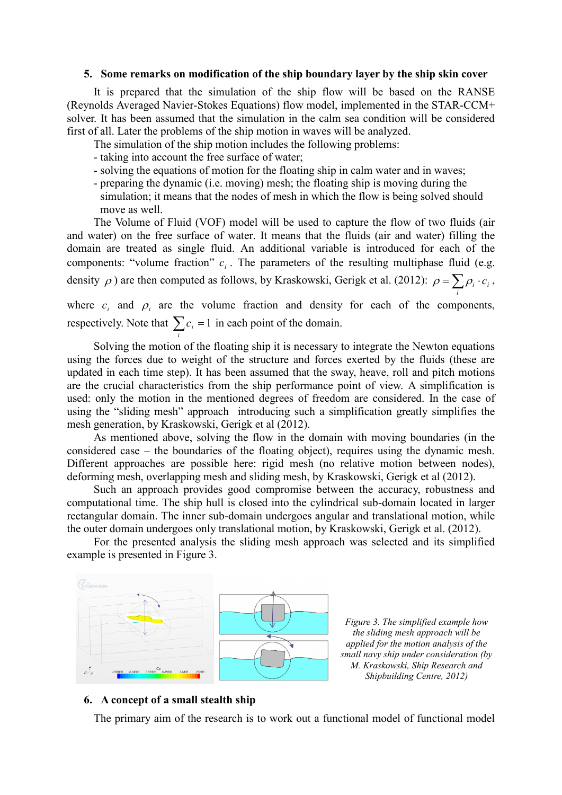#### **5. Some remarks on modification of the ship boundary layer by the ship skin cover**

It is prepared that the simulation of the ship flow will be based on the RANSE (Reynolds Averaged Navier-Stokes Equations) flow model, implemented in the STAR-CCM+ solver. It has been assumed that the simulation in the calm sea condition will be considered first of all. Later the problems of the ship motion in waves will be analyzed.

The simulation of the ship motion includes the following problems:

- taking into account the free surface of water;

*i*

- solving the equations of motion for the floating ship in calm water and in waves;
- preparing the dynamic (i.e. moving) mesh; the floating ship is moving during the simulation; it means that the nodes of mesh in which the flow is being solved should move as well.

The Volume of Fluid (VOF) model will be used to capture the flow of two fluids (air and water) on the free surface of water. It means that the fluids (air and water) filling the domain are treated as single fluid. An additional variable is introduced for each of the components: "volume fraction"  $c_i$ . The parameters of the resulting multiphase fluid (e.g. density  $\rho$ ) are then computed as follows, by Kraskowski, Gerigk et al. (2012):  $\rho = \sum_i \rho_i \cdot c_i$ ,

where  $c_i$  and  $p_i$  are the volume fraction and density for each of the components, respectively. Note that  $\sum c_i = 1$  in each point of the domain.

Solving the motion of the floating ship it is necessary to integrate the Newton equations using the forces due to weight of the structure and forces exerted by the fluids (these are updated in each time step). It has been assumed that the sway, heave, roll and pitch motions are the crucial characteristics from the ship performance point of view. A simplification is used: only the motion in the mentioned degrees of freedom are considered. In the case of using the "sliding mesh" approach introducing such a simplification greatly simplifies the mesh generation, by Kraskowski, Gerigk et al (2012).

As mentioned above, solving the flow in the domain with moving boundaries (in the considered case – the boundaries of the floating object), requires using the dynamic mesh. Different approaches are possible here: rigid mesh (no relative motion between nodes), deforming mesh, overlapping mesh and sliding mesh, by Kraskowski, Gerigk et al (2012).

Such an approach provides good compromise between the accuracy, robustness and computational time. The ship hull is closed into the cylindrical sub-domain located in larger rectangular domain. The inner sub-domain undergoes angular and translational motion, while the outer domain undergoes only translational motion, by Kraskowski, Gerigk et al. (2012).

For the presented analysis the sliding mesh approach was selected and its simplified example is presented in Figure 3.



*Figure 3. The simplified example how the sliding mesh approach will be applied for the motion analysis of the small navy ship under consideration (by M. Kraskowski, Ship Research and Shipbuilding Centre, 2012)*

*i*

# **6. A concept of a small stealth ship**

The primary aim of the research is to work out a functional model of functional model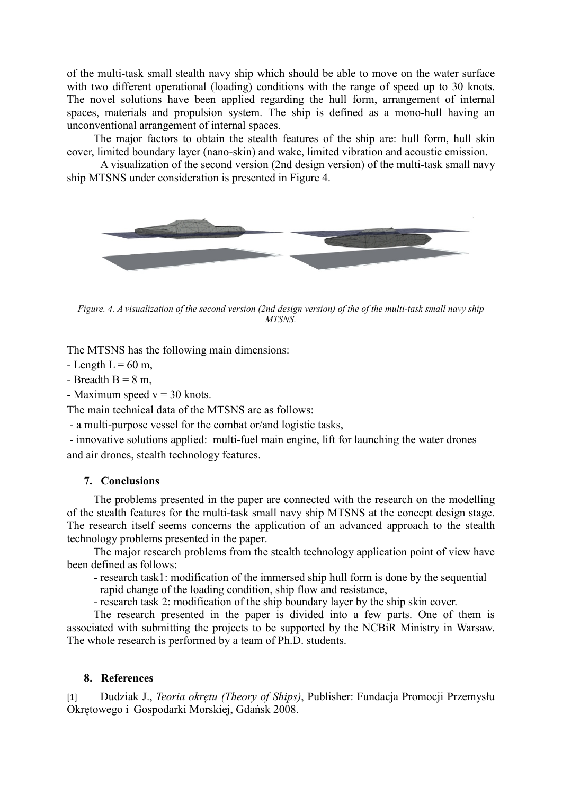of the multi-task small stealth navy ship which should be able to move on the water surface with two different operational (loading) conditions with the range of speed up to 30 knots. The novel solutions have been applied regarding the hull form, arrangement of internal spaces, materials and propulsion system. The ship is defined as a mono-hull having an unconventional arrangement of internal spaces.

The major factors to obtain the stealth features of the ship are: hull form, hull skin cover, limited boundary layer (nano-skin) and wake, limited vibration and acoustic emission.

A visualization of the second version (2nd design version) of the multi-task small navy ship MTSNS under consideration is presented in Figure 4.



*Figure. 4. A visualization of the second version (2nd design version) of the of the multi-task small navy ship MTSNS.*

The MTSNS has the following main dimensions:

- Length  $L = 60$  m,
- Breadth  $B = 8$  m,
- Maximum speed  $v = 30$  knots.

The main technical data of the MTSNS are as follows:

- a multi-purpose vessel for the combat or/and logistic tasks,

- innovative solutions applied: multi-fuel main engine, lift for launching the water drones and air drones, stealth technology features.

# **7. Conclusions**

The problems presented in the paper are connected with the research on the modelling of the stealth features for the multi-task small navy ship MTSNS at the concept design stage. The research itself seems concerns the application of an advanced approach to the stealth technology problems presented in the paper.

The major research problems from the stealth technology application point of view have been defined as follows:

- research task1: modification of the immersed ship hull form is done by the sequential rapid change of the loading condition, ship flow and resistance,

- research task 2: modification of the ship boundary layer by the ship skin cover.

The research presented in the paper is divided into a few parts. One of them is associated with submitting the projects to be supported by the NCBiR Ministry in Warsaw. The whole research is performed by a team of Ph.D. students.

### **8. References**

[1] Dudziak J., *Teoria okrętu (Theory of Ships)*, Publisher: Fundacja Promocji Przemysłu Okrętowego i Gospodarki Morskiej, Gdańsk 2008.